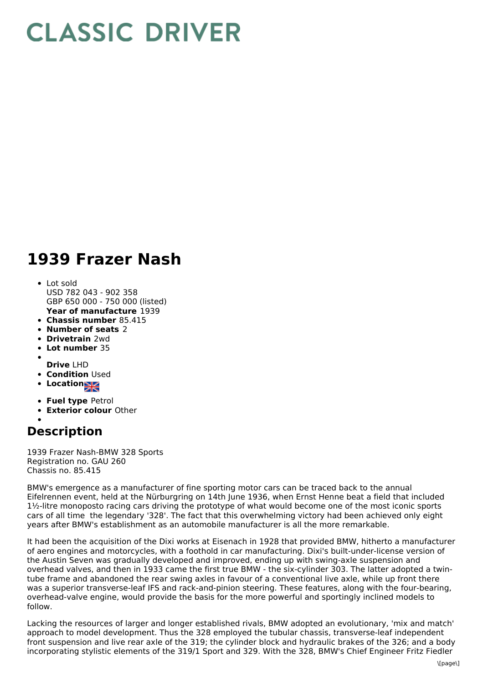## **CLASSIC DRIVER**

## **1939 Frazer Nash**

- **Year of manufacture** 1939 Lot sold USD 782 043 - 902 358 GBP 650 000 - 750 000 (listed)
- **Chassis number** 85.415
- **Number of seats** 2
- **Drivetrain** 2wd
- **Lot number** 35
- 
- **Drive** LHD
- **Condition Used**
- **Location**
- **Fuel type** Petrol
- **Exterior colour** Other
- 

## **Description**

1939 Frazer Nash-BMW 328 Sports Registration no. GAU 260 Chassis no. 85.415

BMW's emergence as a manufacturer of fine sporting motor cars can be traced back to the annual Eifelrennen event, held at the Nürburgring on 14th June 1936, when Ernst Henne beat a field that included 1½-litre monoposto racing cars driving the prototype of what would become one of the most iconic sports cars of all time the legendary '328'. The fact that this overwhelming victory had been achieved only eight years after BMW's establishment as an automobile manufacturer is all the more remarkable.

It had been the acquisition of the Dixi works at Eisenach in 1928 that provided BMW, hitherto a manufacturer of aero engines and motorcycles, with a foothold in car manufacturing. Dixi's built-under-license version of the Austin Seven was gradually developed and improved, ending up with swing-axle suspension and overhead valves, and then in 1933 came the first true BMW - the six-cylinder 303. The latter adopted a twintube frame and abandoned the rear swing axles in favour of a conventional live axle, while up front there was a superior transverse-leaf IFS and rack-and-pinion steering. These features, along with the four-bearing, overhead-valve engine, would provide the basis for the more powerful and sportingly inclined models to follow.

Lacking the resources of larger and longer established rivals, BMW adopted an evolutionary, 'mix and match' approach to model development. Thus the 328 employed the tubular chassis, transverse-leaf independent front suspension and live rear axle of the 319; the cylinder block and hydraulic brakes of the 326; and a body incorporating stylistic elements of the 319/1 Sport and 329. With the 328, BMW's Chief Engineer Fritz Fiedler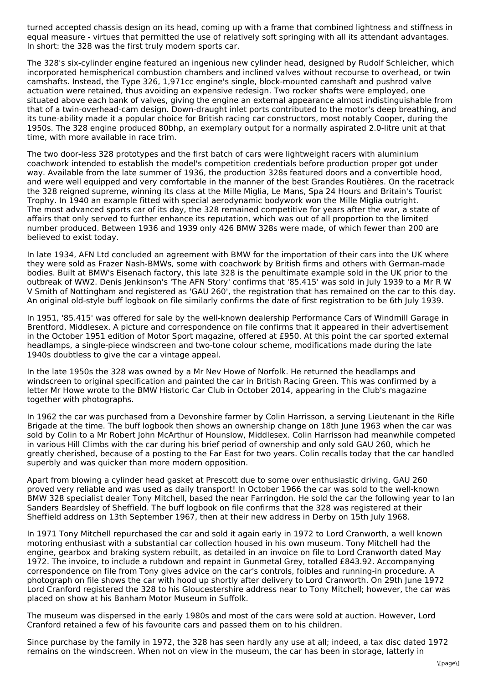turned accepted chassis design on its head, coming up with a frame that combined lightness and stiffness in equal measure - virtues that permitted the use of relatively soft springing with all its attendant advantages. In short: the 328 was the first truly modern sports car.

The 328's six-cylinder engine featured an ingenious new cylinder head, designed by Rudolf Schleicher, which incorporated hemispherical combustion chambers and inclined valves without recourse to overhead, or twin camshafts. Instead, the Type 326, 1,971cc engine's single, block-mounted camshaft and pushrod valve actuation were retained, thus avoiding an expensive redesign. Two rocker shafts were employed, one situated above each bank of valves, giving the engine an external appearance almost indistinguishable from that of a twin-overhead-cam design. Down-draught inlet ports contributed to the motor's deep breathing, and its tune-ability made it a popular choice for British racing car constructors, most notably Cooper, during the 1950s. The 328 engine produced 80bhp, an exemplary output for a normally aspirated 2.0-litre unit at that time, with more available in race trim.

The two door-less 328 prototypes and the first batch of cars were lightweight racers with aluminium coachwork intended to establish the model's competition credentials before production proper got under way. Available from the late summer of 1936, the production 328s featured doors and a convertible hood, and were well equipped and very comfortable in the manner of the best Grandes Routières. On the racetrack the 328 reigned supreme, winning its class at the Mille Miglia, Le Mans, Spa 24 Hours and Britain's Tourist Trophy. In 1940 an example fitted with special aerodynamic bodywork won the Mille Miglia outright. The most advanced sports car of its day, the 328 remained competitive for years after the war, a state of affairs that only served to further enhance its reputation, which was out of all proportion to the limited number produced. Between 1936 and 1939 only 426 BMW 328s were made, of which fewer than 200 are believed to exist today.

In late 1934, AFN Ltd concluded an agreement with BMW for the importation of their cars into the UK where they were sold as Frazer Nash-BMWs, some with coachwork by British firms and others with German-made bodies. Built at BMW's Eisenach factory, this late 328 is the penultimate example sold in the UK prior to the outbreak of WW2. Denis Jenkinson's 'The AFN Story' confirms that '85.415' was sold in July 1939 to a Mr R W V Smith of Nottingham and registered as 'GAU 260', the registration that has remained on the car to this day. An original old-style buff logbook on file similarly confirms the date of first registration to be 6th July 1939.

In 1951, '85.415' was offered for sale by the well-known dealership Performance Cars of Windmill Garage in Brentford, Middlesex. A picture and correspondence on file confirms that it appeared in their advertisement in the October 1951 edition of Motor Sport magazine, offered at £950. At this point the car sported external headlamps, a single-piece windscreen and two-tone colour scheme, modifications made during the late 1940s doubtless to give the car a vintage appeal.

In the late 1950s the 328 was owned by a Mr Nev Howe of Norfolk. He returned the headlamps and windscreen to original specification and painted the car in British Racing Green. This was confirmed by a letter Mr Howe wrote to the BMW Historic Car Club in October 2014, appearing in the Club's magazine together with photographs.

In 1962 the car was purchased from a Devonshire farmer by Colin Harrisson, a serving Lieutenant in the Rifle Brigade at the time. The buff logbook then shows an ownership change on 18th June 1963 when the car was sold by Colin to a Mr Robert John McArthur of Hounslow, Middlesex. Colin Harrisson had meanwhile competed in various Hill Climbs with the car during his brief period of ownership and only sold GAU 260, which he greatly cherished, because of a posting to the Far East for two years. Colin recalls today that the car handled superbly and was quicker than more modern opposition.

Apart from blowing a cylinder head gasket at Prescott due to some over enthusiastic driving, GAU 260 proved very reliable and was used as daily transport! In October 1966 the car was sold to the well-known BMW 328 specialist dealer Tony Mitchell, based the near Farringdon. He sold the car the following year to Ian Sanders Beardsley of Sheffield. The buff logbook on file confirms that the 328 was registered at their Sheffield address on 13th September 1967, then at their new address in Derby on 15th July 1968.

In 1971 Tony Mitchell repurchased the car and sold it again early in 1972 to Lord Cranworth, a well known motoring enthusiast with a substantial car collection housed in his own museum. Tony Mitchell had the engine, gearbox and braking system rebuilt, as detailed in an invoice on file to Lord Cranworth dated May 1972. The invoice, to include a rubdown and repaint in Gunmetal Grey, totalled £843.92. Accompanying correspondence on file from Tony gives advice on the car's controls, foibles and running-in procedure. A photograph on file shows the car with hood up shortly after delivery to Lord Cranworth. On 29th June 1972 Lord Cranford registered the 328 to his Gloucestershire address near to Tony Mitchell; however, the car was placed on show at his Banham Motor Museum in Suffolk.

The museum was dispersed in the early 1980s and most of the cars were sold at auction. However, Lord Cranford retained a few of his favourite cars and passed them on to his children.

Since purchase by the family in 1972, the 328 has seen hardly any use at all; indeed, a tax disc dated 1972 remains on the windscreen. When not on view in the museum, the car has been in storage, latterly in